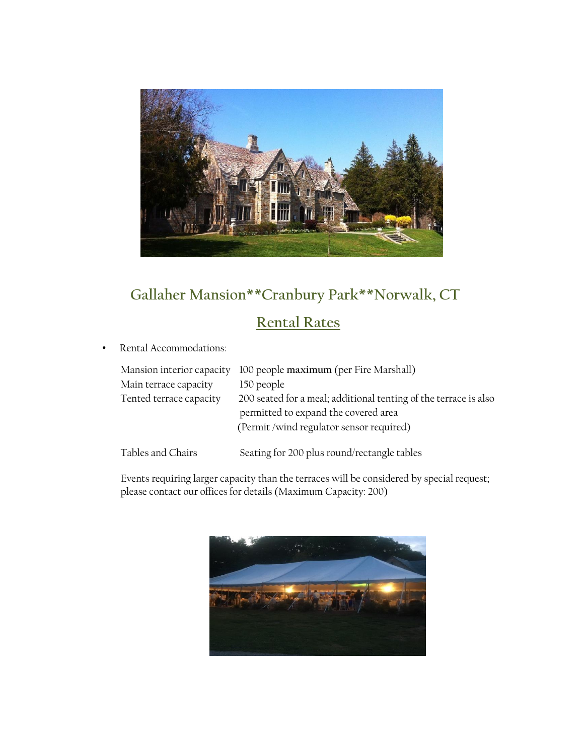

# **Gallaher Mansion\*\*Cranbury Park\*\*Norwalk, CT**

## **Rental Rates**

• Rental Accommodations:

| Mansion interior capacity | 100 people maximum (per Fire Marshall)                           |
|---------------------------|------------------------------------------------------------------|
| Main terrace capacity     | 150 people                                                       |
| Tented terrace capacity   | 200 seated for a meal; additional tenting of the terrace is also |
|                           |                                                                  |
|                           | permitted to expand the covered area                             |
|                           | (Permit /wind regulator sensor required)                         |
|                           |                                                                  |
| Tables and Chairs         | Seating for 200 plus round/rectangle tables                      |

Events requiring larger capacity than the terraces will be considered by special request; please contact our offices for details (Maximum Capacity: 200)

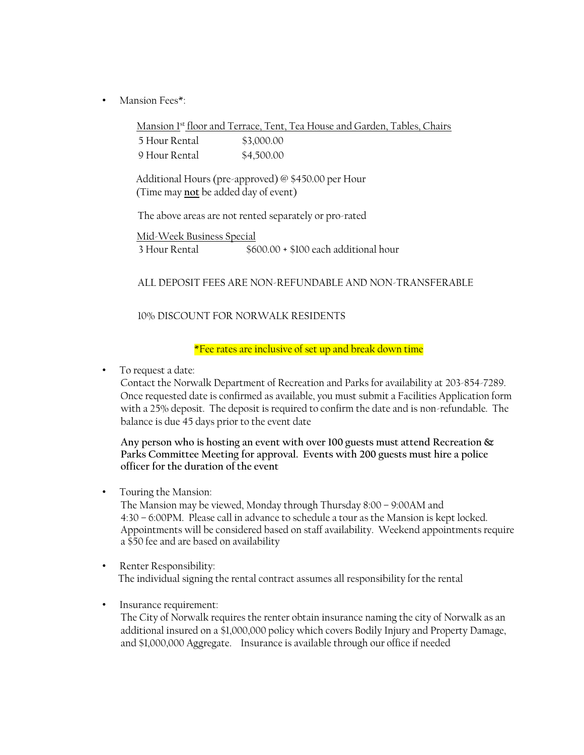• Mansion Fees\*:

Mansion 1st floor and Terrace, Tent, Tea House and Garden, Tables, Chairs 5 Hour Rental \$3,000.00 9 Hour Rental \$4,500.00

 Additional Hours (pre-approved) @ \$450.00 per Hour (Time may **not** be added day of event)

The above areas are not rented separately or pro-rated

Mid-Week Business Special 3 Hour Rental \$600.00 + \$100 each additional hour

ALL DEPOSIT FEES ARE NON-REFUNDABLE AND NON-TRANSFERABLE

10% DISCOUNT FOR NORWALK RESIDENTS

\*Fee rates are inclusive of set up and break down time

• To request a date:

Contact the Norwalk Department of Recreation and Parks for availability at 203-854-7289. Once requested date is confirmed as available, you must submit a Facilities Application form with a 25% deposit. The deposit is required to confirm the date and is non-refundable. The balance is due 45 days prior to the event date

**Any person who is hosting an event with over 100 guests must attend Recreation & Parks Committee Meeting for approval. Events with 200 guests must hire a police officer for the duration of the event**

• Touring the Mansion:

The Mansion may be viewed, Monday through Thursday 8:00 – 9:00AM and 4:30 – 6:00PM. Please call in advance to schedule a tour as the Mansion is kept locked. Appointments will be considered based on staff availability. Weekend appointments require a \$50 fee and are based on availability

- Renter Responsibility: The individual signing the rental contract assumes all responsibility for the rental
- Insurance requirement:

The City of Norwalk requires the renter obtain insurance naming the city of Norwalk as an additional insured on a \$1,000,000 policy which covers Bodily Injury and Property Damage, and \$1,000,000 Aggregate. Insurance is available through our office if needed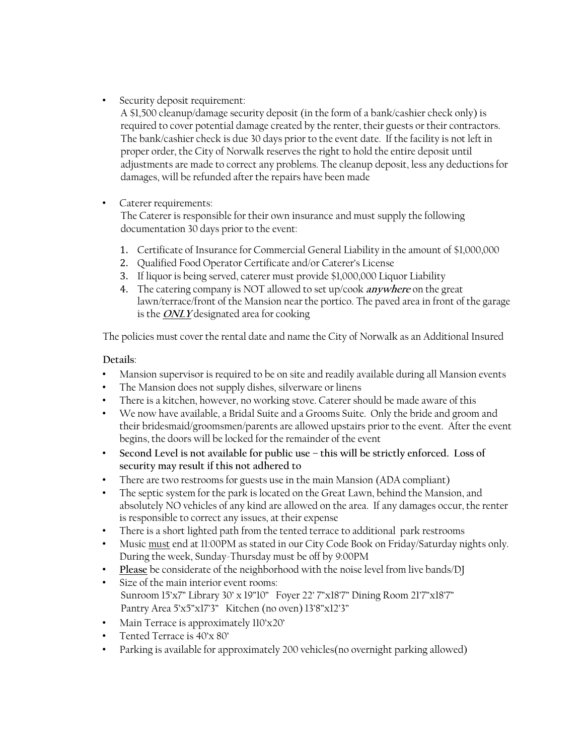• Security deposit requirement:

A \$1,500 cleanup/damage security deposit (in the form of a bank/cashier check only) is required to cover potential damage created by the renter, their guests or their contractors. The bank/cashier check is due 30 days prior to the event date. If the facility is not left in proper order, the City of Norwalk reserves the right to hold the entire deposit until adjustments are made to correct any problems. The cleanup deposit, less any deductions for damages, will be refunded after the repairs have been made

• Caterer requirements:

The Caterer is responsible for their own insurance and must supply the following documentation 30 days prior to the event:

- 1. Certificate of Insurance for Commercial General Liability in the amount of \$1,000,000
- 2. Qualified Food Operator Certificate and/or Caterer's License
- 3. If liquor is being served, caterer must provide \$1,000,000 Liquor Liability
- 4. The catering company is NOT allowed to set up/cook **anywhere** on the great lawn/terrace/front of the Mansion near the portico. The paved area in front of the garage is the **ONLY** designated area for cooking

The policies must cover the rental date and name the City of Norwalk as an Additional Insured

#### **Details**:

- Mansion supervisor is required to be on site and readily available during all Mansion events
- The Mansion does not supply dishes, silverware or linens
- There is a kitchen, however, no working stove. Caterer should be made aware of this
- We now have available, a Bridal Suite and a Grooms Suite. Only the bride and groom and their bridesmaid/groomsmen/parents are allowed upstairs prior to the event. After the event begins, the doors will be locked for the remainder of the event
- **Second Level is not available for public use – this will be strictly enforced. Loss of security may result if this not adhered to**
- There are two restrooms for guests use in the main Mansion (ADA compliant)
- The septic system for the park is located on the Great Lawn, behind the Mansion, and absolutely NO vehicles of any kind are allowed on the area. If any damages occur, the renter is responsible to correct any issues, at their expense
- There is a short lighted path from the tented terrace to additional park restrooms
- Music must end at 11:00PM as stated in our City Code Book on Friday/Saturday nights only. During the week, Sunday-Thursday must be off by 9:00PM
- **Please** be considerate of the neighborhood with the noise level from live bands/DJ
- Size of the main interior event rooms: Sunroom 15'x7" Library 30' x 19"10" Foyer 22' 7"x18'7" Dining Room 21'7"x18'7" Pantry Area 5'x5"x17'3" Kitchen (no oven) 13'8"x12'3"
- Main Terrace is approximately  $110^{\circ}x20^{\circ}$
- Tented Terrace is 40'x 80'
- Parking is available for approximately 200 vehicles (no overnight parking allowed)